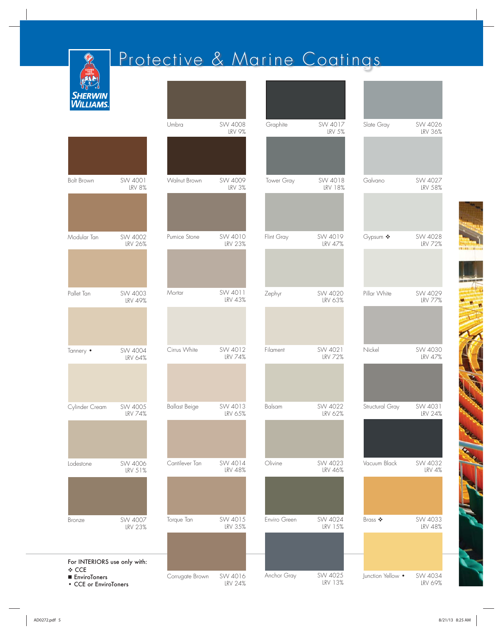## Protective & Marine Coatings

| <b>SHERWIN</b><br><b>WILLIAMS</b>                                                     |                          |                      |                          |              |                    |                   |                           |
|---------------------------------------------------------------------------------------|--------------------------|----------------------|--------------------------|--------------|--------------------|-------------------|---------------------------|
|                                                                                       |                          | Umbra                | SW 4008<br><b>LRV 9%</b> | Graphite     | SW 4017<br>LRV 5%  | Slate Gray        | SW 4026<br>LRV 36%        |
|                                                                                       |                          |                      |                          |              |                    |                   |                           |
| <b>Bolt Brown</b>                                                                     | SW 4001<br><b>LRV 8%</b> | Walnut Brown         | SW 4009<br><b>LRV 3%</b> | Tower Gray   | SW 4018<br>LRV 18% | Galvano           | SW 4027<br>LRV 58%        |
|                                                                                       |                          |                      |                          |              |                    |                   |                           |
| Modular Tan                                                                           | SW 4002<br>LRV 26%       | Pumice Stone         | SW 4010<br>LRV 23%       | Flint Gray   | SW 4019<br>LRV 47% | Gypsum ❖          | SW 4028<br><b>LRV 72%</b> |
| Pallet Tan                                                                            | SW 4003<br>LRV 49%       | Mortar               | SW 4011<br>LRV 43%       | Zephyr       | SW 4020<br>LRV 63% | Pillar White      | SW 4029<br>LRV 77%        |
| Tannery •                                                                             | SW 4004<br>LRV 64%       | Cirrus White         | SW 4012<br>LRV 74%       | Filament     | SW 4021<br>LRV 72% | Nickel            | SW 4030<br>LRV 47%        |
| Cylinder Cream                                                                        | SW 4005<br>LRV 74%       | <b>Ballast Beige</b> | SW 4013<br>LRV 65%       | Balsam       | SW 4022<br>LRV 62% | Structural Gray   | SW 4031<br>LRV 24%        |
| Lodestone                                                                             | SW 4006<br>LRV 51%       | Cantilever Tan       | SW 4014<br>LRV 48%       | Olivine      | SW 4023<br>LRV 46% | Vacuum Black      | SW 4032<br>LRV 4%         |
| Bronze                                                                                | SW 4007<br>LRV 23%       | Torque Tan           | SW 4015<br>LRV 35%       | Enviro Green | SW 4024<br>LRV 15% | Brass ❖           | SW 4033<br>LRV 48%        |
| For INTERIORS use only with:<br>❖ CCE<br><b>EnviroToners</b><br>• CCE or EnviroToners |                          | Corrugate Brown      | SW 4016<br>LRV 24%       | Anchor Gray  | SW 4025<br>LRV 13% | Junction Yellow • | SW 4034<br>LRV 69%        |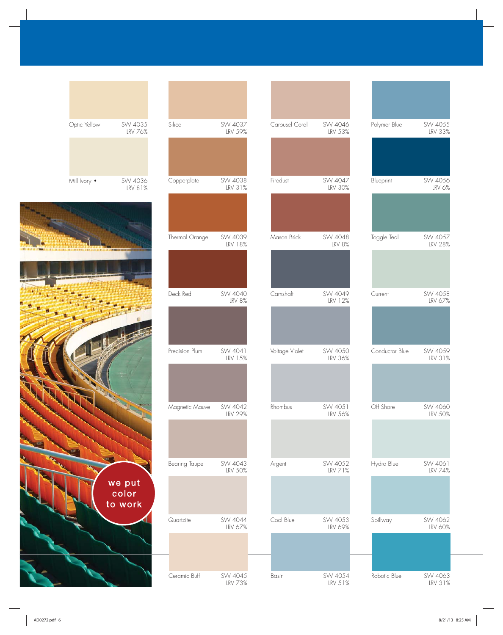| Carousel Coral | SW 4046<br>LRV 53%       | Polymer Blue   | SW 4055<br>LRV 33%  |
|----------------|--------------------------|----------------|---------------------|
|                |                          |                |                     |
| Firedust       | SW 4047<br>LRV 30%       | Blueprint      | SW 4056<br>LRV 6%   |
|                |                          |                |                     |
| Mason Brick    | SW 4048<br><b>LRV 8%</b> | Toggle Teal    | SW 4057<br>LRV 28%  |
|                |                          |                |                     |
| Camshaft       | SW 4049<br>LRV 12%       | Current        | SW 4058<br>LRV 67%  |
|                |                          |                |                     |
| Voltage Violet | SW 4050<br>LRV 36%       | Conductor Blue | SW 4059<br>LRV 31%  |
|                |                          |                |                     |
| Khombus        | SW 4051<br>LRV 56%       | Ott Shore      | SVV 4060<br>LRV 50% |
|                |                          |                |                     |
| Argent         | SW 4052<br>LRV 71%       | Hydro Blue     | SW 4061<br>LRV 74%  |
|                |                          |                |                     |
| Cool Blue      | SW 4053<br>LRV 69%       | Spillway       | SW 4062<br>LRV 60%  |
|                |                          |                |                     |
|                |                          |                |                     |
| Basin          | SW 4054<br>LRV 51%       | Robotic Blue   | SW 4063<br>LRV 31%  |

| Silica               | SW 4037<br>LRV 59%        |  |
|----------------------|---------------------------|--|
|                      |                           |  |
| Copperplate          | SW 4038<br>LRV 31%        |  |
|                      |                           |  |
| Thermal Orange       | SW 4039<br>LRV 18%        |  |
|                      |                           |  |
| Deck Red             | SW 4040<br><b>LRV 8%</b>  |  |
|                      |                           |  |
| Precision Plum       | SW 4041<br>LRV 15%        |  |
|                      |                           |  |
| Magnetic Mauve       | SW 4042<br><b>LRV 29%</b> |  |
|                      |                           |  |
| <b>Bearing Taupe</b> | SW 4043<br>LRV 50%        |  |
|                      |                           |  |
| Quartzite            | SW 4044<br>LRV 67%        |  |
|                      |                           |  |
|                      |                           |  |

Ceramic Buff

SW 4045<br>LRV 73%

| Optic Yellow | SW 4035<br><b>IRV 76%</b>     |
|--------------|-------------------------------|
|              |                               |
| Mill Ivory • | SW 4036<br>$1 N / \Omega 30/$ |